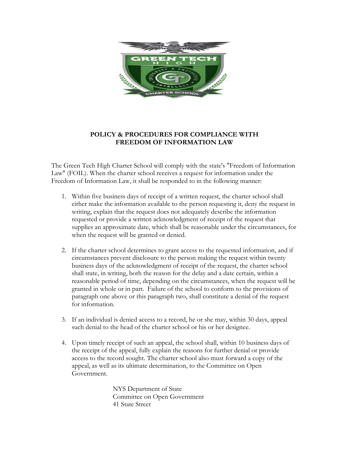

## **POLICY & PROCEDURES FOR COMPLIANCE WITH FREEDOM OF INFORMATION LAW**

The Green Tech High Charter School will comply with the state's "Freedom of Information Law" (FOIL). When the charter school receives a request for information under the Freedom of Information Law, it shall be responded to in the following manner:

- 1. Within five business days of receipt of a written request, the charter school shall either make the information available to the person requesting it, deny the request in writing, explain that the request does not adequately describe the information requested or provide a written acknowledgment of receipt of the request that supplies an approximate date, which shall be reasonable under the circumstances, for when the request will be granted or denied.
- 2. If the charter school determines to grant access to the requested information, and if circumstances prevent disclosure to the person making the request within twenty business days of the acknowledgment of receipt of the request, the charter school shall state, in writing, both the reason for the delay and a date certain, within a reasonable period of time, depending on the circumstances, when the request will be granted in whole or in part. Failure of the school to conform to the provisions of paragraph one above or this paragraph two, shall constitute a denial of the request for information.
- 3. If an individual is denied access to a record, he or she may, within 30 days, appeal such denial to the head of the charter school or his or her designee.
- 4. Upon timely receipt of such an appeal, the school shall, within 10 business days of the receipt of the appeal, fully explain the reasons for further denial or provide access to the record sought. The charter school also must forward a copy of the appeal, as well as its ultimate determination, to the Committee on Open Government.

NYS Department of State Committee on Open Government 41 State Street